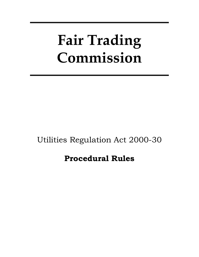# **Fair Trading Commission**

# Utilities Regulation Act 2000-30

# **Procedural Rules**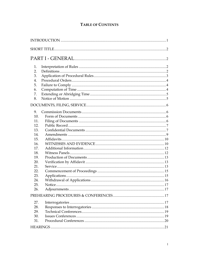# **TABLE OF CONTENTS**

| 1.  |  |
|-----|--|
| 2.  |  |
| 3.  |  |
| 4.  |  |
| 5.  |  |
| 6.  |  |
| 7.  |  |
| 8.  |  |
|     |  |
| 9.  |  |
| 10. |  |
| 11. |  |
| 12. |  |
| 13. |  |
| 14. |  |
| 15. |  |
| 16. |  |
| 17. |  |
| 18. |  |
| 19. |  |
| 20. |  |
| 21. |  |
| 22. |  |
| 23. |  |
| 24. |  |
| 25. |  |
| 26. |  |
|     |  |
| 27. |  |
| 28. |  |
| 29. |  |
| 30. |  |
| 31. |  |
|     |  |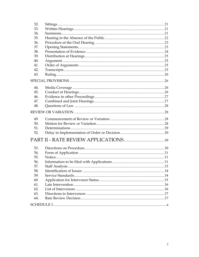| 32. |                 |    |
|-----|-----------------|----|
| 33. |                 |    |
| 34. |                 |    |
| 35. |                 |    |
| 36. |                 |    |
| 37. |                 |    |
| 38. |                 |    |
| 39. |                 |    |
| 40. |                 |    |
| 41. |                 |    |
| 42. |                 |    |
| 43. |                 |    |
|     |                 |    |
|     |                 |    |
| 44. |                 |    |
| 45. |                 |    |
| 46. |                 |    |
| 47. |                 |    |
| 48. |                 |    |
|     |                 |    |
| 49. |                 |    |
| 50. |                 |    |
| 51. |                 |    |
| 52. |                 |    |
|     |                 |    |
|     |                 |    |
| 53. |                 |    |
| 54. |                 |    |
| 55. |                 |    |
| 56. |                 |    |
| 57. | Staff Analysis. | 33 |
| 58. |                 |    |
| 59. |                 |    |
| 60. |                 |    |
| 61. |                 |    |
| 62. |                 |    |
| 63. |                 |    |
| 64. |                 |    |
|     |                 |    |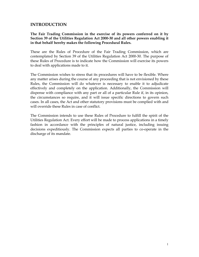# **INTRODUCTION**

**The Fair Trading Commission in the exercise of its powers conferred on it by Section 39 of the Utilities Regulation Act 2000-30 and all other powers enabling it in that behalf hereby makes the following Procedural Rules.** 

These are the Rules of Procedure of the Fair Trading Commission, which are contemplated by Section 39 of the Utilities Regulation Act 2000-30. The purpose of these Rules of Procedure is to indicate how the Commission will exercise its powers to deal with applications made to it.

The Commission wishes to stress that its procedures will have to be flexible. Where any matter arises during the course of any proceeding that is not envisioned by these Rules, the Commission will do whatever is necessary to enable it to adjudicate effectively and completely on the application. Additionally, the Commission will dispense with compliance with any part or all of a particular Rule if, in its opinion, the circumstances so require, and it will issue specific directions to govern such cases. In all cases, the Act and other statutory provisions must be complied with and will override these Rules in case of conflict.

The Commission intends to use these Rules of Procedure to fulfill the spirit of the Utilities Regulation Act. Every effort will be made to process applications in a timely fashion in accordance with the principles of natural justice, including issuing decisions expeditiously. The Commission expects all parties to co-operate in the discharge of its mandate.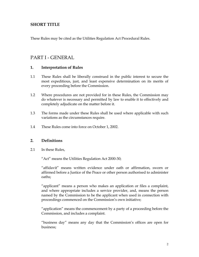# **SHORT TITLE**

These Rules may be cited as the Utilities Regulation Act Procedural Rules.

# PART I - GENERAL

# **1. Interpretation of Rules**

- 1.1 These Rules shall be liberally construed in the public interest to secure the most expeditious, just, and least expensive determination on its merits of every proceeding before the Commission.
- 1.2 Where procedures are not provided for in these Rules, the Commission may do whatever is necessary and permitted by law to enable it to effectively and completely adjudicate on the matter before it.
- 1.3 The forms made under these Rules shall be used where applicable with such variations as the circumstances require.
- 1.4 These Rules come into force on October 1, 2002.

# **2. Definitions**

2.1 In these Rules,

"Act" means the Utilities Regulation Act 2000-30;

"affidavit" means written evidence under oath or affirmation, sworn or affirmed before a Justice of the Peace or other person authorised to administer oaths;

"applicant" means a person who makes an application or files a complaint, and where appropriate includes a service provider, and, means the person named by the Commission to be the applicant when used in connection with proceedings commenced on the Commission's own initiative;

"application" means the commencement by a party of a proceeding before the Commission, and includes a complaint.

"business day" means any day that the Commission's offices are open for business;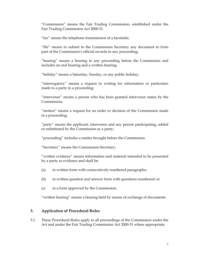"Commission" means the Fair Trading Commission, established under the Fair Trading Commission Act 2000-31.

"fax" means the telephone transmission of a facsimile;

"file" means to submit to the Commission Secretary any document to form part of the Commission's official records in any proceeding;

"hearing" means a hearing in any proceeding before the Commission and includes an oral hearing and a written hearing.

"holiday" means a Saturday, Sunday, or any public holiday;

"interrogatory" means a request in writing for information or particulars made to a party in a proceeding;

"intervenor" means a person who has been granted intervenor status by the Commission;

"motion" means a request for an order or decision of the Commission made in a proceeding;

"party" means the applicant, intervenor and any person participating, added or substituted by the Commission as a party;

"proceeding" includes a matter brought before the Commission.

"Secretary" means the Commission Secretary;

"written evidence" means information and material intended to be presented by a party as evidence and shall be:

- (a) in written form with consecutively numbered paragraphs;
- (b) in written question and answer form with questions numbered; or
- (c) in a form approved by the Commission.

"written hearing" means a hearing held by means of exchange of documents.

#### **3. Application of Procedural Rules**

3.1 These Procedural Rules apply to all proceedings of the Commission under the Act and under the Fair Trading Commission Act 2000-31 where appropriate.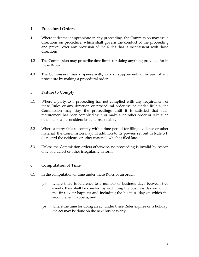# **4. Procedural Orders**

- 4.1 Where it deems it appropriate in any proceeding, the Commission may issue directions on procedure, which shall govern the conduct of the proceeding and prevail over any provision of the Rules that is inconsistent with those directions.
- 4.2 The Commission may prescribe time limits for doing anything provided for in these Rules.
- 4.3 The Commission may dispense with, vary or supplement, all or part of any procedure by making a procedural order.

# **5. Failure to Comply**

- 5.1 Where a party to a proceeding has not complied with any requirement of these Rules or any direction or procedural order issued under Rule 4, the Commission may stay the proceedings until it is satisfied that such requirement has been complied with or make such other order or take such other steps as it considers just and reasonable.
- 5.2 Where a party fails to comply with a time period for filing evidence or other material, the Commission may, in addition to its powers set out in Rule 5.1, disregard the evidence or other material, which is filed late.
- 5.3 Unless the Commission orders otherwise, no proceeding is invalid by reason only of a defect or other irregularity in form.

# **6. Computation of Time**

- 6.1 In the computation of time under these Rules or an order:
	- (a) where there is reference to a number of business days between two events, they shall be counted by excluding the business day on which the first event happens and including the business day on which the second event happens; and
	- (b) where the time for doing an act under these Rules expires on a holiday, the act may be done on the next business day.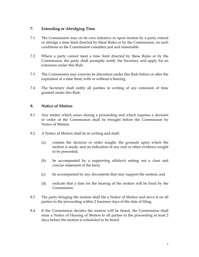# **7. Extending or Abridging Time**

- 7.1 The Commission may on its own initiative or upon motion by a party extend or abridge a time limit directed by these Rules or by the Commission, on such conditions as the Commission considers just and reasonable.
- 7.2 Where a party cannot meet a time limit directed by these Rules or by the Commission, the party shall promptly notify the Secretary and apply for an extension under this Rule.
- 7.3 The Commission may exercise its discretion under this Rule before or after the expiration of a time limit, with or without a hearing.
- 7.4 The Secretary shall notify all parities in writing of any extension of time granted under this Rule.

# **8. Notice of Motion**

- 8.1 Any matter which arises during a proceeding and which requires a decision or order of the Commission shall be brought before the Commission by Notice of Motion.
- 8.2 A Notice of Motion shall be in writing and shall:
	- (a) contain the decision or order sought, the grounds upon which the motion is made, and an indication of any oral or other evidence sought to be presented;
	- (b) be accompanied by a supporting affidavit setting out a clear and concise statement of the facts;
	- (c) be accompanied by any documents that may support the motion; and
	- (d) indicate that a date for the hearing of the motion will be fixed by the Commission.
- 8.3 The party bringing the motion shall file a Notice of Motion and serve it on all parties to the proceeding within 2 business days of the date of filing.
- 8.4 If the Commission decides the motion will be heard, the Commission shall issue a Notice of Hearing of Motion to all parties to the proceeding at least 2 days before the motion is scheduled to be heard.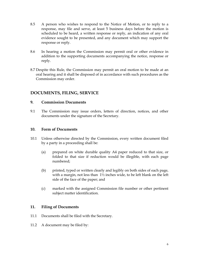- 8.5 A person who wishes to respond to the Notice of Motion, or to reply to a response, may file and serve, at least 5 business days before the motion is scheduled to be heard, a written response or reply, an indication of any oral evidence sought to be presented, and any document which may support the response or reply.
- 8.6 In hearing a motion the Commission may permit oral or other evidence in addition to the supporting documents accompanying the notice, response or reply.
- 8.7 Despite this Rule, the Commission may permit an oral motion to be made at an oral hearing and it shall be disposed of in accordance with such procedures as the Commission may order.

# **DOCUMENTS, FILING, SERVICE**

# **9. Commission Documents**

9.1 The Commission may issue orders, letters of direction, notices, and other documents under the signature of the Secretary.

# **10. Form of Documents**

- 10.1 Unless otherwise directed by the Commission, every written document filed by a party in a proceeding shall be:
	- (a) prepared on white durable quality A4 paper reduced to that size, or folded to that size if reduction would be illegible, with each page numbered;
	- (b) printed, typed or written clearly and legibly on both sides of each page, with a margin, not less than  $1\frac{1}{2}$  inches wide, to be left blank on the left side of the face of the paper; and
	- (c) marked with the assigned Commission file number or other pertinent subject matter identification.

# **11. Filing of Documents**

- 11.1 Documents shall be filed with the Secretary.
- 11.2 A document may be filed by: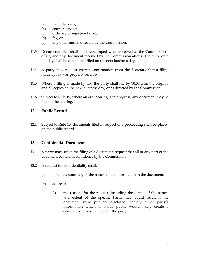- (a) hand delivery;
- (b) courier service;
- (c) ordinary or registered mail;
- (d) fax; or
- (e) any other means directed by the Commission.
- 11.3 Documents filed shall be date stamped when received at the Commission's office, and any document received by the Commission after 4:00 p.m. or on a holiday shall be considered filed on the next business day.
- 11.4 A party may request written confirmation from the Secretary that a filing made by fax was properly received.
- 11.5 Where a filing is made by fax, the party shall file by 10:00 a.m. the original and all copies on the next business day, or as directed by the Commission.
- 11.6 Subject to Rule 19, where an oral hearing is in progress, any document may be filed at the hearing.

# **12. Public Record**

12.1 Subject to Rule 13, documents filed in respect of a proceeding shall be placed on the public record.

# **13. Confidential Documents**

- 13.1 A party may, upon the filing of a document, request that all or any part of the document be held in confidence by the Commission.
- 13.2 A request for confidentiality shall:
	- (a) include a summary of the nature of the information in the document;
	- (b) address:
		- (i) the reasons for the request, including the details of the nature and extent of the specific harm that would result if the document were publicly disclosed, namely either party's information which, if made public would likely create a competitive disadvantage for the party;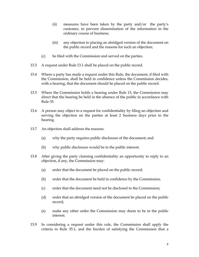- (ii) measures have been taken by the party and/or the party's customer, to prevent dissemination of the information in the ordinary course of business;
- (iii) any objection to placing an abridged version of the document on the public record and the reasons for such an objection;
- (c) be filed with the Commission and served on the parties.
- 13.3 A request under Rule 13.1 shall be placed on the public record.
- 13.4 Where a party has made a request under this Rule, the document, if filed with the Commission, shall be held in confidence unless the Commission decides, with a hearing, that the document should be placed on the public record.
- 13.5 Where the Commission holds a hearing under Rule 13, the Commission may direct that the hearing be held in the absence of the public in accordance with Rule 35.
- 13.6 A person may object to a request for confidentiality by filing an objection and serving the objection on the parties at least 2 business days prior to the hearing.
- 13.7 An objection shall address the reasons:
	- (a) why the party requires public disclosure of the document; and
	- (b) why public disclosure would be in the public interest.
- 13.8 After giving the party claiming confidentiality an opportunity to reply to an objection, if any, the Commission may:
	- (a) order that the document be placed on the public record;
	- (b) order that the document be held in confidence by the Commission;
	- (c) order that the document need not be disclosed to the Commission;
	- (d) order that an abridged version of the document be placed on the public record;
	- (e) make any other order the Commission may deem to be in the public interest.
- 13.9 In considering a request under this rule, the Commission shall apply the criteria in Rule 35.1, and the burden of satisfying the Commission that a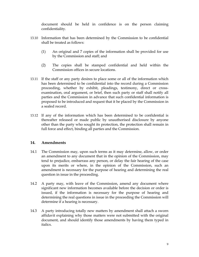document should be held in confidence is on the person claiming confidentiality.

- 13.10 Information that has been determined by the Commission to be confidential shall be treated as follows:
	- (1) An original and 7 copies of the information shall be provided for use by the Commission and staff; and
	- (2) The copies shall be stamped confidential and held within the Commission offices in secure locations.
- 13.11 If the staff or any party desires to place some or all of the information which has been determined to be confidential into the record during a Commission proceeding, whether by exhibit, pleadings, testimony, direct or crossexamination, oral argument, or brief, then such party or staff shall notify all parties and the Commission in advance that such confidential information is proposed to be introduced and request that it be placed by the Commission in a sealed record.
- 13.12 If any of the information which has been determined to be confidential is thereafter released or made public by unauthorised disclosure by anyone other than the party who sought its protection, the protection shall remain in full force and effect, binding all parties and the Commission.

# **14. Amendments**

- 14.1 The Commission may, upon such terms as it may determine, allow, or order an amendment to any document that in the opinion of the Commission, may tend to prejudice, embarrass any person, or delay the fair hearing of the case upon its merits or where, in the opinion of the Commission, such an amendment is necessary for the purpose of hearing and determining the real question in issue in the proceeding.
- 14.2 A party may, with leave of the Commission, amend any document where significant new information becomes available before the decision or order is issued, if the information is necessary for the purpose of hearing and determining the real questions in issue in the proceeding the Commission will determine if a hearing is necessary.
- 14.3 A party introducing totally new matters by amendment shall attach a sworn affidavit explaining why those matters were not submitted with the original document, and should identify those amendments by having them typed in italics.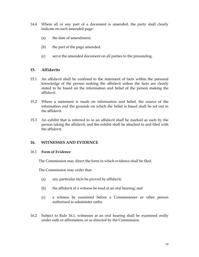- 14.4 Where all or any part of a document is amended, the party shall clearly indicate on each amended page:
	- (a) the date of amendment;
	- (b) the part of the page amended.
	- (c) serve the amended document on all parties to the proceeding.

#### **15. Affidavits**

- 15.1 An affidavit shall be confined to the statement of facts within the personal knowledge of the person making the affidavit unless the facts are clearly stated to be based on the information and belief of the person making the affidavit.
- 15.2 Where a statement is made on information and belief, the source of the information and the grounds on which the belief is based shall be set out in the affidavit.
- 15.3 An exhibit that is referred to in an affidavit shall be marked as such by the person taking the affidavit, and the exhibit shall be attached to and filed with the affidavit.

# **16. WITNESSES AND EVIDENCE**

#### 16.1 **Form of Evidence**

The Commission may direct the form in which evidence shall be filed.

The Commission may order that:

- (a) any particular facts be proved by affidavit;
- (b) the affidavit of a witness be read at an oral hearing; and
- (c) a witness be examined before a Commissioner or other person authorised to administer oaths.
- 16.2 Subject to Rule 16.1, witnesses at an oral hearing shall be examined orally under oath or affirmation, or as directed by the Commission.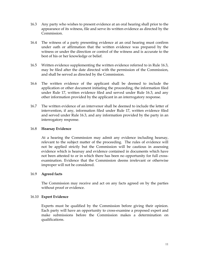- 16.3 Any party who wishes to present evidence at an oral hearing shall prior to the appearance of its witness, file and serve its written evidence as directed by the Commission.
- 16.4 The witness of a party presenting evidence at an oral hearing must confirm under oath or affirmation that the written evidence was prepared by the witness or under the direction or control of the witness and is accurate to the best of his or her knowledge or belief.
- 16.5 Written evidence supplementing the written evidence referred to in Rule 16.3, may be filed after the date directed with the permission of the Commission, and shall be served as directed by the Commission.
- 16.6 The written evidence of the applicant shall be deemed to include the application or other document initiating the proceeding, the information filed under Rule 17, written evidence filed and served under Rule 16.3, and any other information provided by the applicant in an interrogatory response.
- 16.7 The written evidence of an intervenor shall be deemed to include the letter of intervention, if any, information filed under Rule 17, written evidence filed and served under Rule 16.3, and any information provided by the party in an interrogatory response.

#### 16.8 **Hearsay Evidence**

 At a hearing the Commission may admit any evidence including hearsay, relevant to the subject matter of the proceeding. The rules of evidence will not be applied strictly but the Commission will be cautious in assessing evidence which is hearsay and evidence contained in documents which have not been attested to or in which there has been no opportunity for full crossexamination. Evidence that the Commission deems irrelevant or otherwise improper will not be considered.

#### 16.9 **Agreed facts**

 The Commission may receive and act on any facts agreed on by the parties without proof or evidence.

#### 16.10 **Expert Evidence**

 Experts must be qualified by the Commission before giving their opinion. Each party will have an opportunity to cross-examine a proposed expert and make submissions before the Commission makes a determination on qualifications.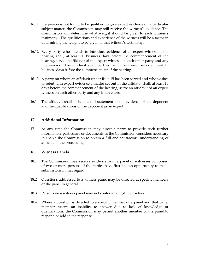- 16.11 If a person is not found to be qualified to give expert evidence on a particular subject matter, the Commission may still receive the witness's evidence. The Commission will determine what weight should be given to each witness's testimony. The qualifications and experience of the witness will be a factor in determining the weight to be given to that witness's testimony.
- 16.12 Every party who intends to introduce evidence of an expert witness at the hearing shall, at least 30 business days before the commencement of the hearing, serve an affidavit of the expert witness on each other party and any intervenors. The affidavit shall be filed with the Commission at least 15 business days before the commencement of the hearing.
- 16.13 A party on whom an affidavit under Rule 15 has been served and who wishes to rebut with expert evidence a matter set out in the affidavit shall, at least 15 days before the commencement of the hearing, serve an affidavit of an expert witness on each other party and any intervenors.
- 16.14 The affidavit shall include a full statement of the evidence of the deponent and the qualifications of the deponent as an expert.

# **17. Additional Information**

17.1 At any time the Commission may direct a party to provide such further information, particulars or documents as the Commission considers necessary to enable the Commission to obtain a full and satisfactory understanding of an issue in the proceeding.

# **18. Witness Panels**

- 18.1 The Commission may receive evidence from a panel of witnesses composed of two or more persons, if the parties have first had an opportunity to make submissions in that regard.
- 18.2 Questions addressed to a witness panel may be directed at specific members or the panel in general.
- 18.3 Persons on a witness panel may not confer amongst themselves.
- 18.4 Where a question is directed to a specific member of a panel and that panel member asserts an inability to answer due to lack of knowledge or qualifications, the Commission may permit another member of the panel to respond or add to the response.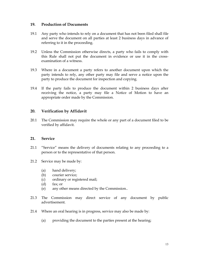#### **19. Production of Documents**

- 19.1 Any party who intends to rely on a document that has not been filed shall file and serve the document on all parties at least 2 business days in advance of referring to it in the proceeding.
- 19.2 Unless the Commission otherwise directs, a party who fails to comply with this Rule shall not put the document in evidence or use it in the crossexamination of a witness.
- 19.3 Where in a document a party refers to another document upon which the party intends to rely, any other party may file and serve a notice upon the party to produce the document for inspection and copying.
- 19.4 If the party fails to produce the document within 2 business days after receiving the notice, a party may file a Notice of Motion to have an appropriate order made by the Commission.

# **20. Verification by Affidavit**

20.1 The Commission may require the whole or any part of a document filed to be verified by affidavit.

# **21. Service**

- 21.1 "Service" means the delivery of documents relating to any proceeding to a person or to the representative of that person.
- 21.2 Service may be made by:
	- (a) hand delivery;
	- (b) courier service;
	- (c) ordinary or registered mail;
	- (d) fax; or
	- (e) any other means directed by the Commission..
- 21.3 The Commission may direct service of any document by public advertisement.
- 21.4 Where an oral hearing is in progress, service may also be made by:
	- (a) providing the document to the parties present at the hearing;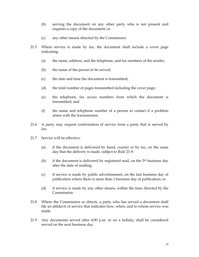- (b) serving the document on any other party who is not present and requests a copy of the document; or
- (c) any other means directed by the Commission.
- 21.5 Where service is made by fax, the document shall include a cover page indicating:
	- (a) the name, address, and the telephone, and fax numbers of the sender;
	- (b) the name of the person to be served;
	- (c) the date and time the document is transmitted;
	- (d) the total number of pages transmitted including the cover page;
	- (e) the telephone, fax access numbers from which the document is transmitted; and
	- (f) the name and telephone number of a person to contact if a problem arises with the transmission.
- 21.6 A party may request confirmation of service from a party that is served by fax.
- 21.7 Service will be effective:
	- (a) if the document is delivered by hand, courier or by fax, on the same day that the delivery is made, subject to Rule 21.9;
	- (b) if the document is delivered by registered mail, on the  $5<sup>th</sup>$  business day after the date of mailing;
	- (c) if service is made by public advertisement, on the last business day of publication where there is more than 1 business day of publication; or
	- (d) if service is made by any other means, within the time directed by the Commission.
- 21.8 Where the Commission so directs, a party who has served a document shall file an affidavit of service that indicates how, when, and to whom service was made.
- 21.9 Any documents served after 4:00 p.m. or on a holiday shall be considered served on the next business day.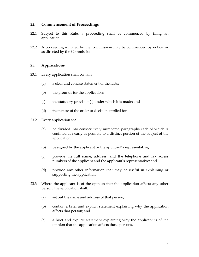# **22. Commencement of Proceedings**

- 22.1 Subject to this Rule, a proceeding shall be commenced by filing an application.
- 22.2 A proceeding initiated by the Commission may be commenced by notice, or as directed by the Commission.

# **23. Applications**

- 23.1 Every application shall contain:
	- (a) a clear and concise statement of the facts;
	- (b) the grounds for the application;
	- (c) the statutory provision(s) under which it is made; and
	- (d) the nature of the order or decision applied for.
- 23.2 Every application shall:
	- (a) be divided into consecutively numbered paragraphs each of which is confined as nearly as possible to a distinct portion of the subject of the application;
	- (b) be signed by the applicant or the applicant's representative;
	- (c) provide the full name, address, and the telephone and fax access numbers of the applicant and the applicant's representative; and
	- (d) provide any other information that may be useful in explaining or supporting the application.
- 23.3 Where the applicant is of the opinion that the application affects any other person, the application shall:
	- (a) set out the name and address of that person;
	- (b) contain a brief and explicit statement explaining why the application affects that person; and
	- (c) a brief and explicit statement explaining why the applicant is of the opinion that the application affects those persons.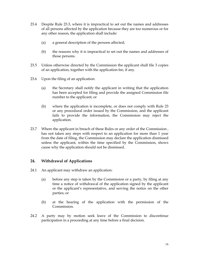- 23.4 Despite Rule 23.3, where it is impractical to set out the names and addresses of all persons affected by the application because they are too numerous or for any other reason, the application shall include:
	- (a) a general description of the persons affected;
	- (b) the reasons why it is impractical to set out the names and addresses of those persons.
- 23.5 Unless otherwise directed by the Commission the applicant shall file 3 copies of an application, together with the application fee, if any.
- 23.6 Upon the filing of an application:
	- (a) the Secretary shall notify the applicant in writing that the application has been accepted for filing and provide the assigned Commission file number to the applicant; or
	- (b) where the application is incomplete, or does not comply with Rule 23 or any procedural order issued by the Commission, and the applicant fails to provide the information, the Commission may reject the application.
- 23.7 Where the applicant in breach of these Rules or any order of the Commission , has not taken any steps with respect to an application for more than 1 year from the date of filing, the Commission may declare the application dismissed unless the applicant, within the time specified by the Commission, shows cause why the application should not be dismissed.

# **24. Withdrawal of Applications**

- 24.1 An applicant may withdraw an application:
	- (a) before any step is taken by the Commission or a party, by filing at any time a notice of withdrawal of the application signed by the applicant or the applicant's representative, and serving the notice on the other parties; or
	- (b) at the hearing of the application with the permission of the Commission.
- 24.2 A party may by motion seek leave of the Commission to discontinue participation in a proceeding at any time before a final decision.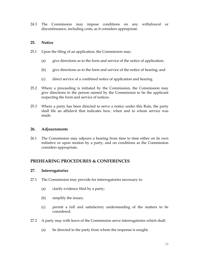24.3 The Commission may impose conditions on any withdrawal or discontinuance, including costs, as it considers appropriate.

# **25. Notice**

- 25.1 Upon the filing of an application, the Commission may:
	- (a) give directions as to the form and service of the notice of application;
	- (b) give directions as to the form and service of the notice of hearing; and
	- (c) direct service of a combined notice of application and hearing.
- 25.2 Where a proceeding is initiated by the Commission, the Commission may give directions to the person named by the Commission to be the applicant respecting the form and service of notices.
- 25.3 Where a party has been directed to serve a notice under this Rule, the party shall file an affidavit that indicates how, when and to whom service was made.

# **26. Adjournments**

26.1 The Commission may adjourn a hearing from time to time either on its own initiative or upon motion by a party, and on conditions as the Commission considers appropriate.

# **PREHEARING PROCEDURES & CONFERENCES**

# **27. Interrogatories**

- 27.1 The Commission may provide for interrogatories necessary to:
	- (a) clarify evidence filed by a party;
	- (b) simplify the issues;
	- (c) permit a full and satisfactory understanding of the matters to be considered.
- 27.2 A party may with leave of the Commission serve interrogatories which shall:
	- (a) be directed to the party from whom the response is sought;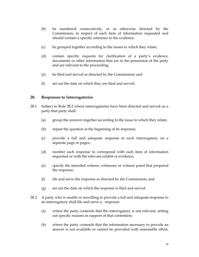- (b) be numbered consecutively, or as otherwise directed by the Commission, in respect of each item of information requested and should contain a specific reference to the evidence;
- (c) be grouped together according to the issues to which they relate;
- (d) contain specific requests for clarification of a party's evidence, documents or other information that are in the possession of the party and are relevant to the proceeding;
- (e) be filed and served as directed by the Commission; and
- (f) set out the date on which they are filed and served.

#### **28. Responses to Interrogatories**

- 28.1 Subject to Rule 28.2 where interrogatories have been directed and served on a party that party shall:
	- (a) group the answers together according to the issue to which they relate;
	- (b) repeat the question at the beginning of its response;
	- (c) provide a full and adequate response to each interrogatory on a separate page or pages;
	- (d) number each response to correspond with each item of information requested or with the relevant exhibit or evidence;
	- (e) specify the intended witness, witnesses or witness panel that prepared the response;
	- (f) file and serve the response as directed by the Commission; and
	- (g) set out the date on which the response is filed and served.
- 28.2 A party who is unable or unwilling to provide a full and adequate response to an interrogatory shall file and serve a response:
	- (a) where the party contends that the interrogatory is not relevant, setting out specific reasons in support of that contention;
	- (b) where the party contends that the information necessary to provide an answer is not available or cannot be provided with reasonable effort,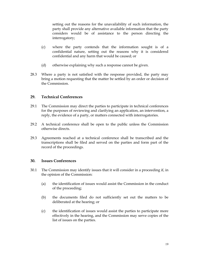setting out the reasons for the unavailability of such information, the party shall provide any alternative available information that the party considers would be of assistance to the person directing the interrogatory;

- (c) where the party contends that the information sought is of a confidential nature, setting out the reasons why it is considered confidential and any harm that would be caused; or
- (d) otherwise explaining why such a response cannot be given.
- 28.3 Where a party is not satisfied with the response provided, the party may bring a motion requesting that the matter be settled by an order or decision of the Commission.

# **29. Technical Conferences**

- 29.1 The Commission may direct the parties to participate in technical conferences for the purposes of reviewing and clarifying an application, an intervention, a reply, the evidence of a party, or matters connected with interrogatories.
- 29.2 A technical conference shall be open to the public unless the Commission otherwise directs.
- 29.3 Agreements reached at a technical conference shall be transcribed and the transcriptions shall be filed and served on the parties and form part of the record of the proceedings.

#### **30. Issues Conferences**

- 30.1 The Commission may identify issues that it will consider in a proceeding if, in the opinion of the Commission:
	- (a) the identification of issues would assist the Commission in the conduct of the proceeding;
	- (b) the documents filed do not sufficiently set out the matters to be deliberated at the hearing; or
	- (c) the identification of issues would assist the parties to participate more effectively in the hearing, and the Commission may serve copies of the list of issues on the parties.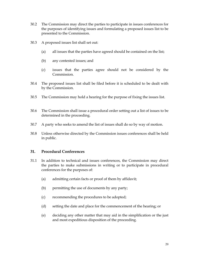- 30.2 The Commission may direct the parties to participate in issues conferences for the purposes of identifying issues and formulating a proposed issues list to be presented to the Commission.
- 30.3 A proposed issues list shall set out:
	- (a) all issues that the parties have agreed should be contained on the list;
	- (b) any contested issues; and
	- (c) issues that the parties agree should not be considered by the Commission.
- 30.4 The proposed issues list shall be filed before it is scheduled to be dealt with by the Commission.
- 30.5 The Commission may hold a hearing for the purpose of fixing the issues list.
- 30.6 The Commission shall issue a procedural order setting out a list of issues to be determined in the proceeding.
- 30.7 A party who seeks to amend the list of issues shall do so by way of motion.
- 30.8 Unless otherwise directed by the Commission issues conferences shall be held in public.

#### **31. Procedural Conferences**

- 31.1 In addition to technical and issues conferences, the Commission may direct the parties to make submissions in writing or to participate in procedural conferences for the purposes of:
	- (a) admitting certain facts or proof of them by affidavit;
	- (b) permitting the use of documents by any party;
	- (c) recommending the procedures to be adopted;
	- (d) setting the date and place for the commencement of the hearing; or
	- (e) deciding any other matter that may aid in the simplification or the just and most expeditious disposition of the proceeding.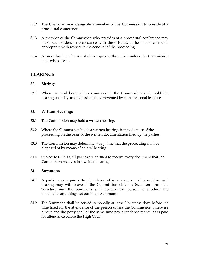- 31.2 The Chairman may designate a member of the Commission to preside at a procedural conference.
- 31.3 A member of the Commission who presides at a procedural conference may make such orders in accordance with these Rules, as he or she considers appropriate with respect to the conduct of the proceeding.
- 31.4 A procedural conference shall be open to the public unless the Commission otherwise directs.

# **HEARINGS**

#### **32. Sittings**

32.1 Where an oral hearing has commenced, the Commission shall hold the hearing on a day-to-day basis unless prevented by some reasonable cause.

#### **33. Written Hearings**

- 33.1 The Commission may hold a written hearing.
- 33.2 Where the Commission holds a written hearing, it may dispose of the proceeding on the basis of the written documentation filed by the parties.
- 33.3 The Commission may determine at any time that the proceeding shall be disposed of by means of an oral hearing.
- 33.4 Subject to Rule 13, all parties are entitled to receive every document that the Commission receives in a written hearing.

#### **34. Summons**

- 34.1 A party who requires the attendance of a person as a witness at an oral hearing may with leave of the Commission obtain a Summons from the Secretary and the Summons shall require the person to produce the documents and things set out in the Summons.
- 34.2 The Summons shall be served personally at least 2 business days before the time fixed for the attendance of the person unless the Commission otherwise directs and the party shall at the same time pay attendance money as is paid for attendance before the High Court.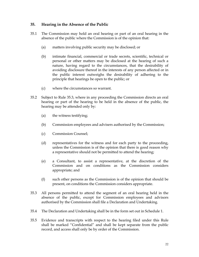# **35. Hearing in the Absence of the Public**

- 35.1 The Commission may hold an oral hearing or part of an oral hearing in the absence of the public where the Commission is of the opinion that:
	- (a) matters involving public security may be disclosed; or
	- (b) intimate financial, commercial or trade secrets, scientific, technical or personal or other matters may be disclosed at the hearing of such a nature, having regard to the circumstances, that the desirability of avoiding disclosure thereof in the interests of any person affected or in the public interest outweighs the desirability of adhering to the principle that hearings be open to the public; or
	- (c) where the circumstances so warrant.
- 35.2 Subject to Rule 35.3, where in any proceeding the Commission directs an oral hearing or part of the hearing to be held in the absence of the public, the hearing may be attended only by:
	- (a) the witness testifying;
	- (b) Commission employees and advisers authorised by the Commission;
	- (c) Commission Counsel;
	- (d) representatives for the witness and for each party to the proceeding, unless the Commission is of the opinion that there is good reason why a representative should not be permitted to attend the hearing;
	- (e) a Consultant, to assist a representative, at the discretion of the Commission and on conditions as the Commission considers appropriate; and
	- (f) such other persons as the Commission is of the opinion that should be present, on conditions the Commission considers appropriate.
- 35.3 All persons permitted to attend the segment of an oral hearing held in the absence of the public, except for Commission employees and advisors authorised by the Commission shall file a Declaration and Undertaking.
- 35.4 The Declaration and Undertaking shall be in the form set out in Schedule 1.
- 35.5 Evidence and transcripts with respect to the hearing filed under this Rule shall be marked "Confidential" and shall be kept separate from the public record, and access shall only be by order of the Commission.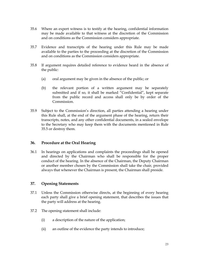- 35.6 Where an expert witness is to testify at the hearing, confidential information may be made available to that witness at the discretion of the Commission and on conditions as the Commission considers appropriate.
- 35.7 Evidence and transcripts of the hearing under this Rule may be made available to the parties to the proceeding at the discretion of the Commission and on conditions as the Commission considers appropriate.
- 35.8 If argument requires detailed reference to evidence heard in the absence of the public:
	- (a) oral argument may be given in the absence of the public; or
	- (b) the relevant portion of a written argument may be separately submitted and if so, it shall be marked "Confidential", kept separate from the public record and access shall only be by order of the Commission.
- 35.9 Subject to the Commission's direction, all parties attending a hearing under this Rule shall, at the end of the argument phase of the hearing, return their transcripts, notes, and any other confidential documents, in a sealed envelope to the Secretary who may keep them with the documents mentioned in Rule 35.5 or destroy them.

# **36. Procedure at the Oral Hearing**

36.1 In hearings on applications and complaints the proceedings shall be opened and directed by the Chairman who shall be responsible for the proper conduct of the hearing. In the absence of the Chairman, the Deputy Chairman or another member chosen by the Commission shall take the chair, provided always that whenever the Chairman is present, the Chairman shall preside.

# **37. Opening Statements**

- 37.1 Unless the Commission otherwise directs, at the beginning of every hearing each party shall give a brief opening statement, that describes the issues that the party will address at the hearing.
- 37.2 The opening statement shall include:
	- (i) a description of the nature of the application;
	- (ii) an outline of the evidence the party intends to introduce;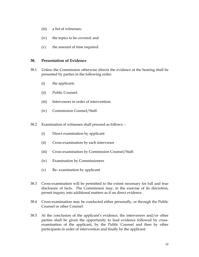- (iii) a list of witnesses;
- (iv) the topics to be covered; and
- (v) the amount of time required.

#### **38. Presentation of Evidence**

- 38.1 Unless the Commission otherwise directs the evidence at the hearing shall be presented by parties in the following order:
	- (i) the applicant;
	- (ii) Public Counsel;
	- (iii) Intervenors in order of intervention;
	- (iv) Commission Counsel/Staff.
- 38.2 Examination of witnesses shall proceed as follows:
	- (i) Direct examination by applicant
	- (ii) Cross-examination by each intervenor
	- (iii) Cross-examination by Commission Counsel/Staff.
	- (iv) Examination by Commissioners
	- (v) Re- examination by applicant
- 38.3 Cross-examination will be permitted to the extent necessary for full and true disclosure of facts. The Commission may, in the exercise of its discretion, permit inquiry into additional matters as if on direct evidence.
- 38.4 Cross-examination may be conducted either personally, or through the Public Counsel or other Counsel.
- 38.5 At the conclusion of the applicant's evidence, the intervenors and/or other parties shall be given the opportunity to lead evidence followed by crossexamination of the applicant, by the Public Counsel and then by other participants in order of intervention and finally by the applicant.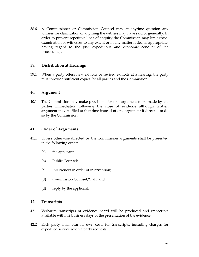38.6 A Commissioner or Commission Counsel may at anytime question any witness for clarification of anything the witness may have said or generally. In order to prevent repetitive lines of enquiry the Commission may limit crossexamination of witnesses to any extent or in any matter it deems appropriate, having regard to the just, expeditious and economic conduct of the proceedings.

#### **39. Distribution at Hearings**

39.1 When a party offers new exhibits or revised exhibits at a hearing, the party must provide sufficient copies for all parties and the Commission.

#### **40. Argument**

40.1 The Commission may make provisions for oral argument to be made by the parties immediately following the close of evidence although written argument may be filed at that time instead of oral argument if directed to do so by the Commission.

# **41. Order of Arguments**

- 41.1 Unless otherwise directed by the Commission arguments shall be presented in the following order:
	- (a) the applicant;
	- (b) Public Counsel;
	- (c) Intervenors in order of intervention;
	- (d) Commission Counsel/Staff; and
	- (d) reply by the applicant.

# **42. Transcripts**

- 42.1 Verbatim transcripts of evidence heard will be produced and transcripts available within 2 business days of the presentation of the evidence.
- 42.2 Each party shall bear its own costs for transcripts, including charges for expedited service when a party requests it.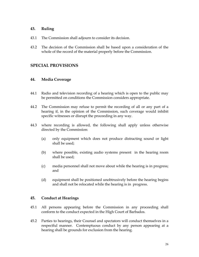#### **43. Ruling**

- 43.1 The Commission shall adjourn to consider its decision.
- 43.2 The decision of the Commission shall be based upon a consideration of the whole of the record of the material properly before the Commission.

# **SPECIAL PROVISIONS**

#### **44. Media Coverage**

- 44.1 Radio and television recording of a hearing which is open to the public may be permitted on conditions the Commission considers appropriate.
- 44.2 The Commission may refuse to permit the recording of all or any part of a hearing if, in the opinion of the Commission, such coverage would inhibit specific witnesses or disrupt the proceeding in any way.
- 44.3 where recording is allowed, the following shall apply unless otherwise directed by the Commission:
	- (a) only equipment which does not produce distracting sound or light shall be used;
	- (b) where possible, existing audio systems present in the hearing room shall be used;
	- (c) media personnel shall not move about while the hearing is in progress; and
	- (d) equipment shall be positioned unobtrusively before the hearing begins and shall not be relocated while the hearing is in progress.

# **45. Conduct at Hearings**

- 45.1 All persons appearing before the Commission in any proceeding shall conform to the conduct expected in the High Court of Barbados.
- 45.2 Parties to hearings, their Counsel and spectators will conduct themselves in a respectful manner. Contemptuous conduct by any person appearing at a hearing shall be grounds for exclusion from the hearing.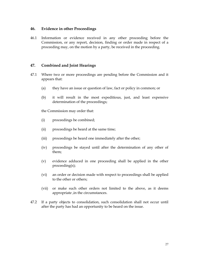#### **46. Evidence in other Proceedings**

46.1 Information or evidence received in any other proceeding before the Commission, or any report, decision, finding or order made in respect of a proceeding may, on the motion by a party, be received in the proceeding.

# **47. Combined and Joint Hearings**

- 47.1 Where two or more proceedings are pending before the Commission and it appears that:
	- (a) they have an issue or question of law, fact or policy in common; or
	- (b) it will result in the most expeditious, just, and least expensive determination of the proceedings;

the Commission may order that:

- (i) proceedings be combined;
- (ii) proceedings be heard at the same time;
- (iii) proceedings be heard one immediately after the other;
- (iv) proceedings be stayed until after the determination of any other of them;
- (v) evidence adduced in one proceeding shall be applied in the other proceeding(s);
- (vi) an order or decision made with respect to proceedings shall be applied to the other or others;
- (vii) or make such other orders not limited to the above, as it deems appropriate ,in the circumstances.
- 47.2 If a party objects to consolidation, such consolidation shall not occur until after the party has had an opportunity to be heard on the issue.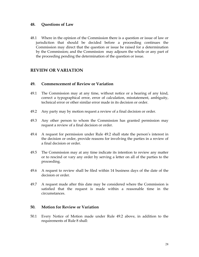#### **48. Questions of Law**

48.1 Where in the opinion of the Commission there is a question or issue of law or jurisdiction that should be decided before a proceeding continues the Commission may direct that the question or issue be raised for a determination by the Commission; and the Commission may adjourn the whole or any part of the proceeding pending the determination of the question or issue.

# **REVIEW OR VARIATION**

#### **49. Commencement of Review or Variation**

- 49.1 The Commission may at any time, without notice or a hearing of any kind, correct a typographical error, error of calculation, misstatement, ambiguity, technical error or other similar error made in its decision or order.
- 49.2 Any party may by motion request a review of a final decision or order.
- 49.3 Any other person to whom the Commission has granted permission may request a review of a final decision or order.
- 49.4 A request for permission under Rule 49.2 shall state the person's interest in the decision or order, provide reasons for involving the parties in a review of a final decision or order.
- 49.5 The Commission may at any time indicate its intention to review any matter or to rescind or vary any order by serving a letter on all of the parties to the proceeding.
- 49.6 A request to review shall be filed within 14 business days of the date of the decision or order.
- 49.7 A request made after this date may be considered where the Commission is satisfied that the request is made within a reasonable time in the circumstances.

#### **50. Motion for Review or Variation**

50.1 Every Notice of Motion made under Rule 49.2 above, in addition to the requirements of Rule 8 shall: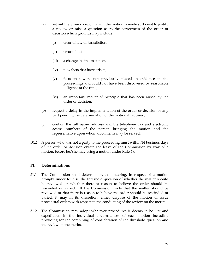- (a) set out the grounds upon which the motion is made sufficient to justify a review or raise a question as to the correctness of the order or decision which grounds may include:
	- (i) error of law or jurisdiction;
	- (ii) error of fact;
	- (iii) a change in circumstances;
	- (iv) new facts that have arisen;
	- (v) facts that were not previously placed in evidence in the proceedings and could not have been discovered by reasonable diligence at the time;
	- (vi) an important matter of principle that has been raised by the order or decision;
- (b) request a delay in the implementation of the order or decision or any part pending the determination of the motion if required;
- (c) contain the full name, address and the telephone, fax and electronic access numbers of the person bringing the motion and the representative upon whom documents may be served.
- 50.2 A person who was not a party to the proceeding must within 14 business days of the order or decision obtain the leave of the Commission by way of a motion, before he/she may bring a motion under Rule 49.

# **51. Determinations**

- 51.1 The Commission shall determine with a hearing, in respect of a motion brought under Rule 49 the threshold question of whether the matter should be reviewed or whether there is reason to believe the order should be rescinded or varied. If the Commission finds that the matter should be reviewed or that there is reason to believe the order should be rescinded or varied, it may in its discretion, either dispose of the motion or issue procedural orders with respect to the conducting of the review on the merits.
- 51.2 The Commission may adopt whatever procedures it deems to be just and expeditious in the individual circumstances of each motion including providing for the combining of consideration of the threshold question and the review on the merits.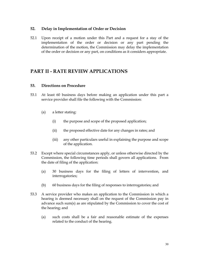#### **52. Delay in Implementation of Order or Decision**

52.1 Upon receipt of a motion under this Part and a request for a stay of the implementation of the order or decision or any part pending the determination of the motion, the Commission may delay the implementation of the order or decision or any part, on conditions as it considers appropriate.

# **PART II - RATE REVIEW APPLICATIONS**

# **53. Directions on Procedure**

- 53.1 At least 60 business days before making an application under this part a service provider shall file the following with the Commission:
	- (a) a letter stating:
		- (i) the purpose and scope of the proposed application;
		- (ii) the proposed effective date for any changes in rates; and
		- (iii) any other particulars useful in explaining the purpose and scope of the application.
- 53.2 Except where special circumstances apply, or unless otherwise directed by the Commission, the following time periods shall govern all applications. From the date of filing of the application:
	- (a) 30 business days for the filing of letters of intervention, and interrogatories;
	- (b) 60 business days for the filing of responses to interrogatories; and
- 53.3 A service provider who makes an application to the Commission in which a hearing is deemed necessary shall on the request of the Commission pay in advance such sum(s) as are stipulated by the Commission to cover the cost of the hearing; and
	- (a) such costs shall be a fair and reasonable estimate of the expenses related to the conduct of the hearing.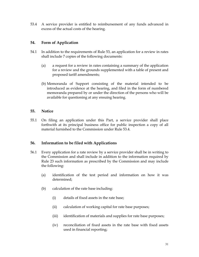53.4 A service provider is entitled to reimbursement of any funds advanced in excess of the actual costs of the hearing.

# **54. Form of Application**

- 54.1 In addition to the requirements of Rule 53, an application for a review in rates shall include 7 copies of the following documents:
	- (a) a request for a review in rates containing a summary of the application for a review and the grounds supplemented with a table of present and proposed tariff amendments;
	- (b) Memoranda of Support consisting of the material intended to be introduced as evidence at the hearing, and filed in the form of numbered memoranda prepared by or under the direction of the persons who will be available for questioning at any ensuing hearing.

# **55. Notice**

55.1 On filing an application under this Part, a service provider shall place forthwith at its principal business office for public inspection a copy of all material furnished to the Commission under Rule 53.4.

# **56. Information to be filed with Applications**

- 56.1 Every application for a rate review by a service provider shall be in writing to the Commission and shall include in addition to the information required by Rule 23 such information as prescribed by the Commission and may include the following:
	- (a) identification of the test period and information on how it was determined;
	- (b) calculation of the rate base including:
		- (i) details of fixed assets in the rate base;
		- (ii) calculation of working capital for rate base purposes;
		- (iii) identification of materials and supplies for rate base purposes;
		- (iv) reconciliation of fixed assets in the rate base with fixed assets used in financial reporting;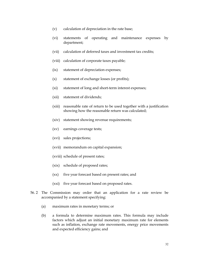- (v) calculation of depreciation in the rate base;
- (vi) statements of operating and maintenance expenses by department;
- (vii) calculation of deferred taxes and investment tax credits;
- (viii) calculation of corporate taxes payable;
- (ix) statement of depreciation expenses;
- (x) statement of exchange losses (or profits);
- (xi) statement of long and short-term interest expenses;
- (xii) statement of dividends;
- (xiii) reasonable rate of return to be used together with a justification showing how the reasonable return was calculated;
- (xiv) statement showing revenue requirements;
- (xv) earnings coverage tests;
- (xvi) sales projections;
- (xvii) memorandum on capital expansion;
- (xviii) schedule of present rates;
- (xix) schedule of proposed rates;
- (xx) five year forecast based on present rates; and
- (xxi) five year forecast based on proposed rates.
- 56. 2 The Commission may order that an application for a rate review be accompanied by a statement specifying:
	- (a) maximum rates in monetary terms; or
	- (b) a formula to determine maximum rates. This formula may include factors which adjust an initial monetary maximum rate for elements such as inflation, exchange rate movements, energy price movements and expected efficiency gains; and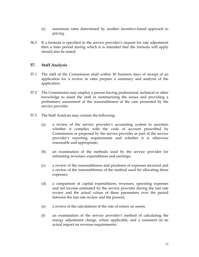- (c) maximum rates determined by another incentive-based approach to pricing.
- 56.3 If a formula is specified in the service provider's request for rate adjustment then a time period during which it is intended that the formula will apply should also be stated.

# **57. Staff Analysis**

- 57.1 The staff of the Commission shall within 30 business days of receipt of an application for a review in rates prepare a summary and analysis of the application.
- 57.2 The Commission may employ a person having professional, technical or other knowledge to assist the staff in summarizing the issues and providing a preliminary assessment of the reasonableness of the case presented by the service provider.
- 57.3 The Staff Analysis may contain the following:
	- (a) a review of the service provider's accounting system to ascertain whether it complies with the code of account prescribed by Commission or proposed by the service provider as part of the service provider's reporting requirements and whether it is otherwise reasonable and appropriate;
	- (b) an examination of the methods used by the service provider for estimating revenues, expenditures and earnings;
	- (c) a review of the reasonableness and prudence of expenses incurred and a review of the reasonableness of the method used for allocating those expenses;
	- (d) a comparison of capital expenditures, revenues, operating expenses and net income estimated by the service provider during the last rate review and the actual values of these parameters over the period between the last rate review and the present;
	- (e) a review of the calculations of the rate of return on assets;
	- (f) an examination of the service provider's method of calculating the energy adjustment charge, where applicable, and a comment on its actual impact on revenue requirements;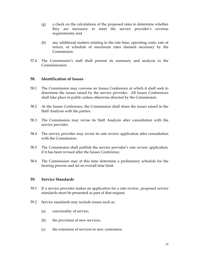- (g) a check on the calculations of the proposed rates to determine whether they are necessary to meet the service provider's revenue requirements; and
- (h) any additional matters relating to the rate base, operating costs, rate of return, or schedule of maximum rates deemed necessary by the Commission.
- 57.4 The Commission's staff shall present its summary and analysis to the Commissioners.

#### **58. Identification of Issues**

- 58.1 The Commission may convene an Issues Conference at which it shall seek to determine the issues raised by the service provider. All Issues Conferences shall take place in public unless otherwise directed by the Commission.
- 58.2 At the Issues Conference, the Commission shall share the issues raised in the Staff Analysis with the parties.
- 58.3 The Commission may revise its Staff Analysis after consultation with the service provider.
- 58.4 The service provider may revise its rate review application after consultation with the Commission.
- 58.5 The Commission shall publish the service provider's rate review application, if it has been revised after the Issues Conference.
- 58.6 The Commission may at this time determine a preliminary schedule for the hearing process and set an overall time limit.

#### **59. Service Standards**

- 59.1 If a service provider makes an application for a rate review, proposed service standards must be presented as part of that request.
- 59.2 Service standards may include issues such as:
	- (a) universality of service;
	- (b) the provision of new services;
	- (c) the extension of services to new customers;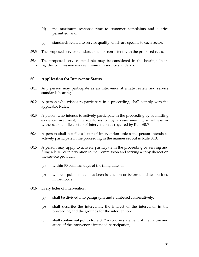- (d) the maximum response time to customer complaints and queries permitted; and
- (e) standards related to service quality which are specific to each sector.
- 59.3 The proposed service standards shall be consistent with the proposed rates.
- 59.4 The proposed service standards may be considered in the hearing. In its ruling, the Commission may set minimum service standards.

# **60. Application for Intervenor Status**

- 60.1 Any person may participate as an intervenor at a rate review and service standards hearing.
- 60.2 A person who wishes to participate in a proceeding, shall comply with the applicable Rules.
- 60.3 A person who intends to actively participate in the proceeding by submitting evidence, argument, interrogatories or by cross-examining a witness or witnesses shall file a letter of intervention as required by Rule 60.5.
- 60.4 A person shall not file a letter of intervention unless the person intends to actively participate in the proceeding in the manner set out in Rule 60.3.
- 60.5 A person may apply to actively participate in the proceeding by serving and filing a letter of intervention to the Commission and serving a copy thereof on the service provider:
	- (a) within 30 business days of the filing date; or
	- (b) where a public notice has been issued, on or before the date specified in the notice.
- 60.6 Every letter of intervention:
	- (a) shall be divided into paragraphs and numbered consecutively;
	- (b) shall describe the intervenor, the interest of the intervenor in the proceeding and the grounds for the intervention;
	- (c) shall contain subject to Rule 60.7 a concise statement of the nature and scope of the intervenor's intended participation;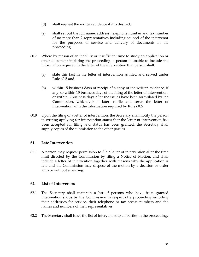- (d) shall request the written evidence if it is desired;
- (e) shall set out the full name, address, telephone number and fax number of no more than 2 representatives including counsel of the intervenor for the purposes of service and delivery of documents in the proceeding.
- 60.7 Where by reason of an inability or insufficient time to study an application or other document initiating the proceeding, a person is unable to include the information required in the letter of the intervention that person shall:
	- (a) state this fact in the letter of intervention as filed and served under Rule 60.5 and
	- (b) within 15 business days of receipt of a copy of the written evidence, if any, or within 15 business days of the filing of the letter of intervention, or within 3 business days after the issues have been formulated by the Commission, whichever is later, re-file and serve the letter of intervention with the information required by Rule 60.6.
- 60.8 Upon the filing of a letter of intervention, the Secretary shall notify the person in writing applying for intervention status that the letter of intervention has been accepted for filing and status has been granted, the Secretary shall supply copies of the submission to the other parties.

# **61. Late Intervention**

61.1 A person may request permission to file a letter of intervention after the time limit directed by the Commission by filing a Notice of Motion, and shall include a letter of intervention together with reasons why the application is late and the Commission may dispose of the motion by a decision or order with or without a hearing.

# **62. List of Intervenors**

- 62.1 The Secretary shall maintain a list of persons who have been granted intervention status by the Commission in respect of a proceeding including their addresses for service, their telephone or fax access numbers and the names and numbers of their representatives.
- 62.2 The Secretary shall issue the list of intervenors to all parties in the proceeding.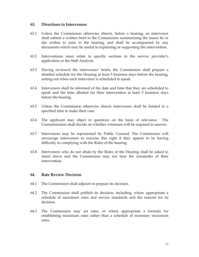#### **63. Directions to Intervenors**

- 63.1 Unless the Commission otherwise directs, before a hearing, an intervenor shall submit a written brief to the Commission summarizing the issues he or she wishes to raise in the hearing, and shall be accompanied by any documents which may be useful in explaining or supporting the intervention.
- 63.2 Interventions must relate to specific sections in the service provider's application or the Staff Analysis.
- 63.3 Having reviewed the intervenors' briefs, the Commission shall prepare a detailed schedule for the Hearing at least 5 business days before the hearing, setting out when each intervenor is scheduled to speak.
- 63.4 Intervenors shall be informed of the date and time that they are scheduled to speak and the time allotted for their intervention at least 5 business days before the hearing.
- 63.5 Unless the Commission otherwise directs intervenors shall be limited to a specified time to make their case.
- 63.6 The applicant may object to questions on the basis of relevance. The Commissioners shall decide on whether witnesses will be required to answer.
- 63.7 Intervenors may be represented by Public Counsel. The Commission will encourage intervenors to exercise this right if they appear to be having difficulty in complying with the Rules of the hearing.
- 63.8 Intervenors who do not abide by the Rules of the Hearing shall be asked to stand down and the Commission may not hear the remainder of their intervention.

# **64. Rate Review Decision**

- 64.1 The Commission shall adjourn to prepare its decision.
- 64.2 The Commission shall publish its decision, including, where appropriate a schedule of maximum rates and service standards and the reasons for its decision.
- 64.3 The Commission may set rates, or where appropriate a formula for establishing maximum rates rather than a schedule of monetary maximum rates.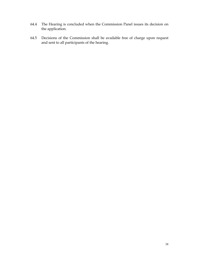- 64.4 The Hearing is concluded when the Commission Panel issues its decision on the application.
- 64.5 Decisions of the Commission shall be available free of charge upon request and sent to all participants of the hearing.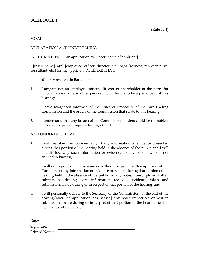# **SCHEDULE 1**

#### FORM 1

# DECLARATION AND UNDERTAKING

IN THE MATTER OF an application by [insert name of applicant].

I [insert name], a(n) [employee, officer, director, etc.] of/a [witness, representative, consultant, etc.] for the applicant, DECLARE THAT:

I am ordinarily resident in Barbados:

- 1. I am/am not an employee, officer, director or shareholder of the party for whom I appear or any other person known by me to be a participant at this hearing;
- 2. I have read/been informed of the Rules of Procedure of the Fair Trading Commission and the orders of the Commission that relate to this hearing;
- 3. I understand that any breach of the Commission's orders could be the subject of contempt proceedings in the High Court.

#### AND UNDERTAKE THAT:

- 4. I will maintain the confidentiality of any information or evidence presented during that portion of the hearing held in the absence of the public and I will not disclose any such information or evidence to any person who is not entitled to know it;
- 5. I will not reproduce in any manner without the prior written approval of the Commission any information or evidence presented during that portion of the hearing held in the absence of the public or, any notes, transcripts or written submissions dealing with information received, evidence taken and submissions made during or in respect of that portion of the hearing; and
- 6. I will personally deliver to the Secretary of the Commission [at the end of the hearing/after the application has passed] any notes transcripts or written submissions made during or in respect of that portion of the hearing held in the absence of the public.

| Date:         |  |
|---------------|--|
| Signature:    |  |
| Printed Name: |  |